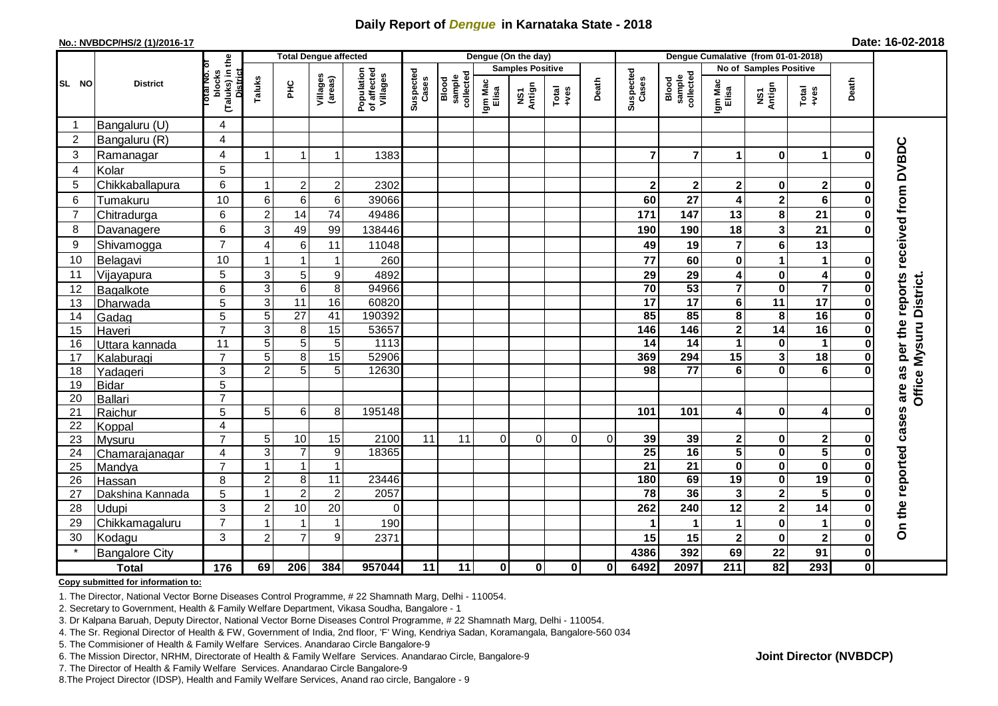## **Daily Report of** *Dengue* **in Karnataka State - 2018**

### **No.: NVBDCP/HS/2 (1)/2016-17 Date: 16-02-2018**

|                |                       | the                                             | <b>Total Dengue affected</b> |                 |                     |                                       |                    |                              |                         | Dengue (On the day) |                                                              |          |                    |                              |                         |                         |                         |              |                                            |
|----------------|-----------------------|-------------------------------------------------|------------------------------|-----------------|---------------------|---------------------------------------|--------------------|------------------------------|-------------------------|---------------------|--------------------------------------------------------------|----------|--------------------|------------------------------|-------------------------|-------------------------|-------------------------|--------------|--------------------------------------------|
|                |                       |                                                 |                              |                 |                     |                                       |                    |                              | <b>Samples Positive</b> |                     |                                                              |          |                    |                              | No of Samples Positive  |                         |                         |              |                                            |
| SL NO          | <b>District</b>       | (Taluks) in t<br>District<br>blocks<br>otal No. | Taluks                       | ŦБ              | Villages<br>(areas) | Population<br>of affected<br>Villages | Suspected<br>Cases | Blood<br>sample<br>collected | Igm Mac<br>Elisa        |                     |                                                              | Death    | Suspected<br>Cases | sample<br>collected<br>Blood | Igm Mac<br>Elisa        |                         |                         | Death        |                                            |
|                |                       |                                                 |                              |                 |                     |                                       |                    |                              |                         | NS1<br>Antign       | $\begin{array}{c}\n\text{Total} \\ \text{Area}\n\end{array}$ |          |                    |                              |                         | NS1<br>Antign           | Total<br>+ves           |              |                                            |
| -1             | Bangaluru (U)         | 4                                               |                              |                 |                     |                                       |                    |                              |                         |                     |                                                              |          |                    |                              |                         |                         |                         |              |                                            |
| $\overline{2}$ | Bangaluru (R)         | 4                                               |                              |                 |                     |                                       |                    |                              |                         |                     |                                                              |          |                    |                              |                         |                         |                         |              |                                            |
| 3              | Ramanagar             | 4                                               | 1                            | 1               | $\mathbf{1}$        | 1383                                  |                    |                              |                         |                     |                                                              |          | $\overline{7}$     | $\overline{7}$               | $\mathbf 1$             | $\bf{0}$                | 1                       |              |                                            |
| 4              | Kolar                 | 5                                               |                              |                 |                     |                                       |                    |                              |                         |                     |                                                              |          |                    |                              |                         |                         |                         |              |                                            |
| 5              | Chikkaballapura       | 6                                               | 1                            | $\overline{2}$  | $\overline{c}$      | 2302                                  |                    |                              |                         |                     |                                                              |          | $\mathbf{2}$       | $\mathbf 2$                  | $\mathbf{2}$            | 0                       | $\overline{2}$          |              |                                            |
| 6              | Tumakuru              | 10                                              | 6                            | $6\phantom{1}6$ | 6                   | 39066                                 |                    |                              |                         |                     |                                                              |          | 60                 | 27                           | 4                       | $\overline{\mathbf{2}}$ | 6                       |              |                                            |
| 7              | Chitradurga           | 6                                               | $\boldsymbol{2}$             | 14              | 74                  | 49486                                 |                    |                              |                         |                     |                                                              |          | 171                | 147                          | 13                      | 8                       | 21                      |              |                                            |
| 8              | Davanagere            | 6                                               | 3                            | 49              | 99                  | 138446                                |                    |                              |                         |                     |                                                              |          | 190                | 190                          | 18                      | 3                       | 21                      |              |                                            |
| 9              | Shivamogga            | $\overline{7}$                                  | $\overline{4}$               | 6               | 11                  | 11048                                 |                    |                              |                         |                     |                                                              |          | 49                 | 19                           | $\overline{7}$          | 6                       | 13                      |              | received from DVBDC                        |
| 10             | Belagavi              | 10                                              | $\mathbf 1$                  | $\overline{1}$  | $\mathbf{1}$        | 260                                   |                    |                              |                         |                     |                                                              |          | 77                 | 60                           | $\mathbf 0$             | 1                       | 1                       |              |                                            |
| 11             | Vijayapura            | 5                                               | 3                            | $\mathbf 5$     | 9                   | 4892                                  |                    |                              |                         |                     |                                                              |          | 29                 | 29                           | 4                       | 0                       | 4                       |              |                                            |
| 12             | Bagalkote             | 6                                               | 3                            | $6\phantom{1}6$ | $\,8\,$             | 94966                                 |                    |                              |                         |                     |                                                              |          | 70                 | 53                           | $\overline{\mathbf{7}}$ | $\boldsymbol{0}$        | $\overline{7}$          |              | per the reports<br>Office Mysuru District. |
| 13             | Dharwada              | 5                                               | $\overline{3}$               | 11              | 16                  | 60820                                 |                    |                              |                         |                     |                                                              |          | $\overline{17}$    | $\overline{17}$              | $\overline{\mathbf{6}}$ | $\overline{11}$         | $\overline{17}$         |              |                                            |
| 14             | Gadag                 | 5                                               | 5                            | $\overline{27}$ | 41                  | 190392                                |                    |                              |                         |                     |                                                              |          | 85                 | 85                           | $\overline{\mathbf{8}}$ | 8                       | 16                      |              |                                            |
| 15             | Haveri                | $\overline{7}$                                  | 3                            | 8               | 15                  | 53657                                 |                    |                              |                         |                     |                                                              |          | 146                | 146                          | $\mathbf{2}$            | $\overline{14}$         | 16                      |              |                                            |
| 16             | Uttara kannada        | 11                                              | $\overline{5}$               | $\overline{5}$  | $\overline{5}$      | 1113                                  |                    |                              |                         |                     |                                                              |          | 14                 | $\overline{14}$              | $\mathbf{1}$            | $\overline{\mathbf{0}}$ | $\mathbf{1}$            |              |                                            |
| 17             | Kalaburagi            | $\overline{7}$                                  | $\overline{5}$               | $\overline{8}$  | 15                  | 52906                                 |                    |                              |                         |                     |                                                              |          | 369                | 294                          | 15                      | $\mathbf{3}$            | 18                      |              |                                            |
| 18             | Yadageri              | 3                                               | $\overline{c}$               | 5               | 5                   | 12630                                 |                    |                              |                         |                     |                                                              |          | 98                 | $\overline{77}$              | 6                       | $\bf{0}$                | $6\phantom{1}$          |              |                                            |
| 19             | <b>Bidar</b>          | 5<br>$\overline{7}$                             |                              |                 |                     |                                       |                    |                              |                         |                     |                                                              |          |                    |                              |                         |                         |                         |              | are as                                     |
| 20             | Ballari               |                                                 |                              |                 |                     | 195148                                |                    |                              |                         |                     |                                                              |          |                    |                              | 4                       |                         | 4                       |              |                                            |
| 21<br>22       | Raichur               | 5<br>4                                          | 5                            | 6               | 8                   |                                       |                    |                              |                         |                     |                                                              |          | 101                | 101                          |                         | $\mathbf 0$             |                         |              |                                            |
| 23             | Koppal<br>Mysuru      | $\overline{7}$                                  | 5                            | 10              | $\overline{15}$     | 2100                                  | 11                 | $\overline{11}$              | $\Omega$                | $\Omega$            | $\Omega$                                                     | $\Omega$ | 39                 | 39                           | $\mathbf 2$             | $\mathbf 0$             | $\mathbf 2$             |              | cases                                      |
| 24             | Chamarajanagar        | 4                                               | 3                            | $\overline{7}$  | 9                   | 18365                                 |                    |                              |                         |                     |                                                              |          | 25                 | 16                           | $\overline{5}$          | $\overline{\mathbf{0}}$ | $\overline{5}$          |              |                                            |
| 25             | Mandya                | $\overline{7}$                                  | $\mathbf 1$                  | $\mathbf{1}$    | $\mathbf{1}$        |                                       |                    |                              |                         |                     |                                                              |          | 21                 | 21                           | 0                       | 0                       | $\mathbf 0$             |              |                                            |
| 26             | Hassan                | 8                                               | $\overline{c}$               | 8               | $\overline{11}$     | 23446                                 |                    |                              |                         |                     |                                                              |          | 180                | 69                           | $\overline{19}$         | $\bf{0}$                | $\overline{19}$         |              |                                            |
| 27             | Dakshina Kannada      | 5                                               | $\mathbf{1}$                 | $\overline{2}$  | $\overline{2}$      | 2057                                  |                    |                              |                         |                     |                                                              |          | $\overline{78}$    | 36                           | 3                       | $\overline{2}$          | $\overline{\mathbf{5}}$ |              |                                            |
| 28             | Udupi                 | 3                                               | $\overline{c}$               | 10              | 20                  | $\Omega$                              |                    |                              |                         |                     |                                                              |          | 262                | 240                          | 12                      | $\overline{\mathbf{2}}$ | 14                      |              |                                            |
| 29             | Chikkamagaluru        | $\overline{7}$                                  | $\mathbf 1$                  | 1               | $\mathbf 1$         | 190                                   |                    |                              |                         |                     |                                                              |          |                    | 1                            | $\mathbf 1$             | $\bf{0}$                | $\blacktriangleleft$    |              | On the reported                            |
| 30             | Kodagu                | 3                                               | $\overline{2}$               | $\overline{7}$  | 9                   | 2371                                  |                    |                              |                         |                     |                                                              |          | 15                 | 15                           | $\mathbf 2$             | $\mathbf 0$             | $\mathbf{2}$            | O            |                                            |
|                | <b>Bangalore City</b> |                                                 |                              |                 |                     |                                       |                    |                              |                         |                     |                                                              |          | 4386               | 392                          | 69                      | 22                      | 91                      | 0            |                                            |
| <b>Total</b>   |                       | 176                                             | 69                           | 206             | 384                 | 957044                                | 11                 | 11                           | $\mathbf{0}$            | 0                   | $\mathbf{0}$                                                 | ΟI       | 6492               | 2097                         | 211                     | 82                      | 293                     | $\mathbf{0}$ |                                            |

#### **Copy submitted for information to:**

1. The Director, National Vector Borne Diseases Control Programme, # 22 Shamnath Marg, Delhi - 110054.

2. Secretary to Government, Health & Family Welfare Department, Vikasa Soudha, Bangalore - 1

3. Dr Kalpana Baruah, Deputy Director, National Vector Borne Diseases Control Programme, # 22 Shamnath Marg, Delhi - 110054.

- 4. The Sr. Regional Director of Health & FW, Government of India, 2nd floor, 'F' Wing, Kendriya Sadan, Koramangala, Bangalore-560 034
- 5. The Commisioner of Health & Family Welfare Services. Anandarao Circle Bangalore-9
- 6. The Mission Director, NRHM, Directorate of Health & Family Welfare Services. Anandarao Circle, Bangalore-9
- 7. The Director of Health & Family Welfare Services. Anandarao Circle Bangalore-9
- 8.The Project Director (IDSP), Health and Family Welfare Services, Anand rao circle, Bangalore 9